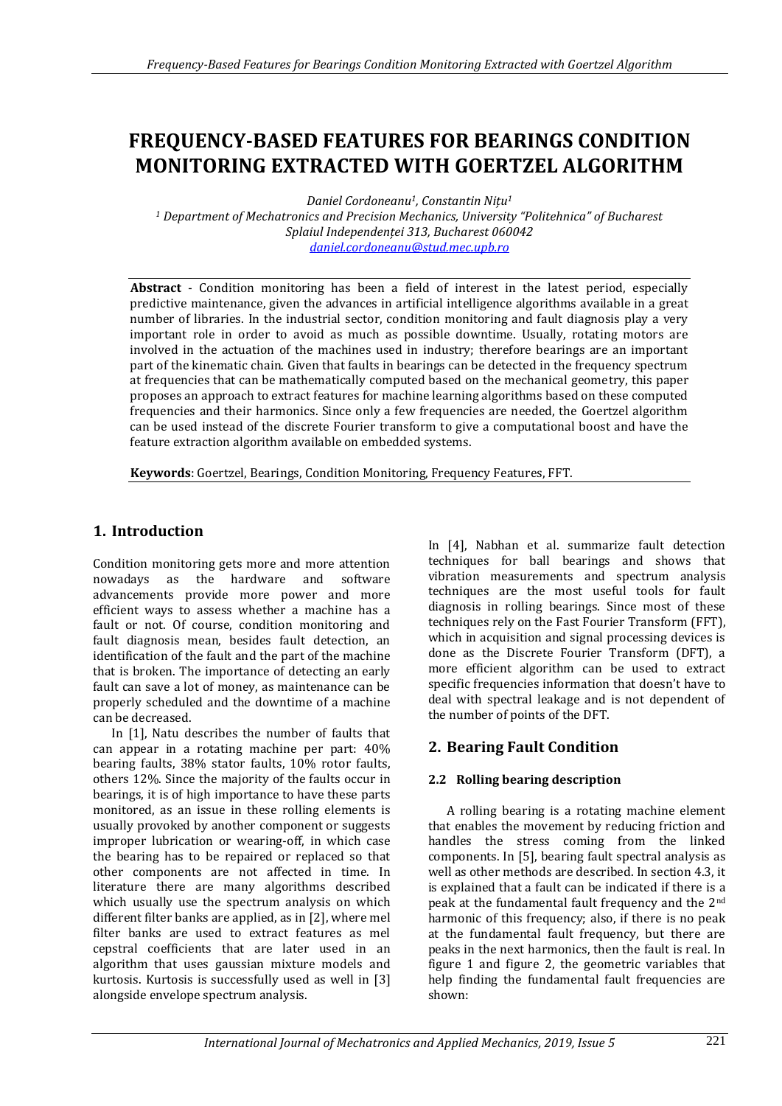# **FREQUENCY-BASED FEATURES FOR BEARINGS CONDITION MONITORING EXTRACTED WITH GOERTZEL ALGORITHM**

*Daniel Cordoneanu1, Constantin Nițu<sup>1</sup>*

*<sup>1</sup> Department of Mechatronics and Precision Mechanics, University "Politehnica" of Bucharest Splaiul Independenței 313, Bucharest 060042 [daniel.cordoneanu@stud.mec.upb.ro](mailto:daniel.cordoneanu@stud.mec.upb.ro)*

**Abstract** - Condition monitoring has been a field of interest in the latest period, especially predictive maintenance, given the advances in artificial intelligence algorithms available in a great number of libraries. In the industrial sector, condition monitoring and fault diagnosis play a very important role in order to avoid as much as possible downtime. Usually, rotating motors are involved in the actuation of the machines used in industry; therefore bearings are an important part of the kinematic chain. Given that faults in bearings can be detected in the frequency spectrum at frequencies that can be mathematically computed based on the mechanical geometry, this paper proposes an approach to extract features for machine learning algorithms based on these computed frequencies and their harmonics. Since only a few frequencies are needed, the Goertzel algorithm can be used instead of the discrete Fourier transform to give a computational boost and have the feature extraction algorithm available on embedded systems.

**Keywords**: Goertzel, Bearings, Condition Monitoring, Frequency Features, FFT.

# **1. Introduction**

Condition monitoring gets more and more attention nowadays as the hardware and software advancements provide more power and more efficient ways to assess whether a machine has a fault or not. Of course, condition monitoring and fault diagnosis mean, besides fault detection, an identification of the fault and the part of the machine that is broken. The importance of detecting an early fault can save a lot of money, as maintenance can be properly scheduled and the downtime of a machine can be decreased.

In [1], Natu describes the number of faults that can appear in a rotating machine per part: 40% bearing faults, 38% stator faults, 10% rotor faults, others 12%. Since the majority of the faults occur in bearings, it is of high importance to have these parts monitored, as an issue in these rolling elements is usually provoked by another component or suggests improper lubrication or wearing-off, in which case the bearing has to be repaired or replaced so that other components are not affected in time. In literature there are many algorithms described which usually use the spectrum analysis on which different filter banks are applied, as in [2], where mel filter banks are used to extract features as mel cepstral coefficients that are later used in an algorithm that uses gaussian mixture models and kurtosis. Kurtosis is successfully used as well in [3] alongside envelope spectrum analysis.

In [4], Nabhan et al. summarize fault detection techniques for ball bearings and shows that vibration measurements and spectrum analysis techniques are the most useful tools for fault diagnosis in rolling bearings. Since most of these techniques rely on the Fast Fourier Transform (FFT), which in acquisition and signal processing devices is done as the Discrete Fourier Transform (DFT), a more efficient algorithm can be used to extract specific frequencies information that doesn't have to deal with spectral leakage and is not dependent of the number of points of the DFT.

# **2. Bearing Fault Condition**

# **2.2 Rolling bearing description**

A rolling bearing is a rotating machine element that enables the movement by reducing friction and handles the stress coming from the linked components. In [5], bearing fault spectral analysis as well as other methods are described. In section 4.3, it is explained that a fault can be indicated if there is a peak at the fundamental fault frequency and the 2nd harmonic of this frequency; also, if there is no peak at the fundamental fault frequency, but there are peaks in the next harmonics, then the fault is real. In figure 1 and figure 2, the geometric variables that help finding the fundamental fault frequencies are shown: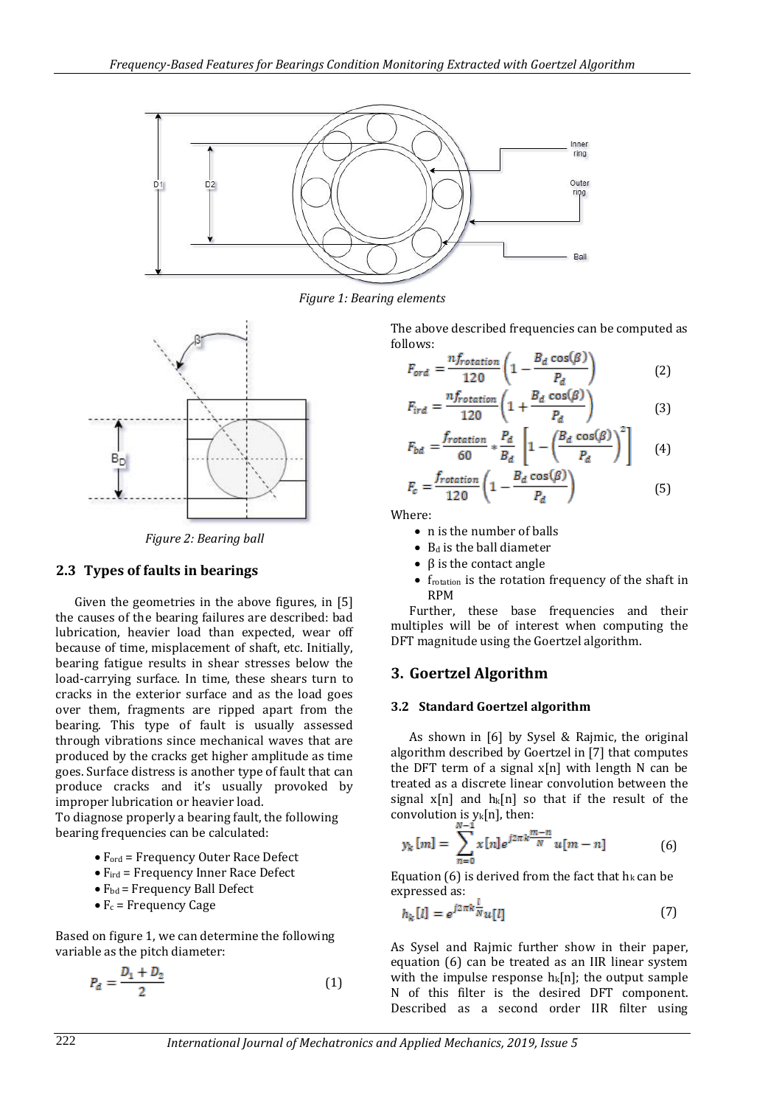

*Figure 1: Bearing elements*



*Figure 2: Bearing ball*

## **2.3 Types of faults in bearings**

Given the geometries in the above figures, in [5] the causes of the bearing failures are described: bad lubrication, heavier load than expected, wear off because of time, misplacement of shaft, etc. Initially, bearing fatigue results in shear stresses below the load-carrying surface. In time, these shears turn to cracks in the exterior surface and as the load goes over them, fragments are ripped apart from the bearing. This type of fault is usually assessed through vibrations since mechanical waves that are produced by the cracks get higher amplitude as time goes. Surface distress is another type of fault that can produce cracks and it's usually provoked by improper lubrication or heavier load.

To diagnose properly a bearing fault, the following bearing frequencies can be calculated:

- Ford = Frequency Outer Race Defect
- $\bullet$  F<sub>ird</sub> = Frequency Inner Race Defect
- $\bullet$  F<sub>bd</sub> = Frequency Ball Defect
- $\bullet$  F<sub>c</sub> = Frequency Cage

Based on figure 1, we can determine the following variable as the pitch diameter:

$$
P_d = \frac{D_1 + D_2}{2} \tag{1}
$$

The above described frequencies can be computed as follows:

$$
F_{ord} = \frac{nf_{rotation}}{120} \left( 1 - \frac{B_d \cos(\beta)}{P_d} \right) \tag{2}
$$

$$
F_{\text{ird}} = \frac{n f_{\text{rotation}}}{120} \left( 1 + \frac{B_d \cos(\beta)}{P_d} \right) \tag{3}
$$

$$
F_{bd} = \frac{f_{rotation}}{60} * \frac{P_d}{B_d} \left[ 1 - \left( \frac{B_d \cos(\beta)}{P_d} \right)^2 \right] \tag{4}
$$

$$
F_c = \frac{f_{rotation}}{120} \left( 1 - \frac{B_d \cos(\beta)}{P_d} \right)
$$
 (5)

Where:

- n is the number of balls
- $\bullet$  B<sub>d</sub> is the ball diameter
- $\cdot$  β is the contact angle
- frotation is the rotation frequency of the shaft in RPM

Further, these base frequencies and their multiples will be of interest when computing the DFT magnitude using the Goertzel algorithm.

## **3. Goertzel Algorithm**

#### **3.2 Standard Goertzel algorithm**

As shown in [6] by Sysel & Rajmic, the original algorithm described by Goertzel in [7] that computes the DFT term of a signal  $x[n]$  with length N can be treated as a discrete linear convolution between the signal  $x[n]$  and  $h_k[n]$  so that if the result of the convolution is  $y_k[n]$ , then:

$$
y_k[m] = \sum_{n=0}^{N-1} x[n] e^{j2\pi k \frac{m-n}{N}} u[m-n]
$$
 (6)

Equation (6) is derived from the fact that  $h_k$  can be expressed as:

$$
h_k[l] = e^{j2\pi k \frac{l}{N}} u[l] \tag{7}
$$

As Sysel and Rajmic further show in their paper, equation (6) can be treated as an IIR linear system with the impulse response  $h_k[n]$ ; the output sample N of this filter is the desired DFT component. Described as a second order IIR filter using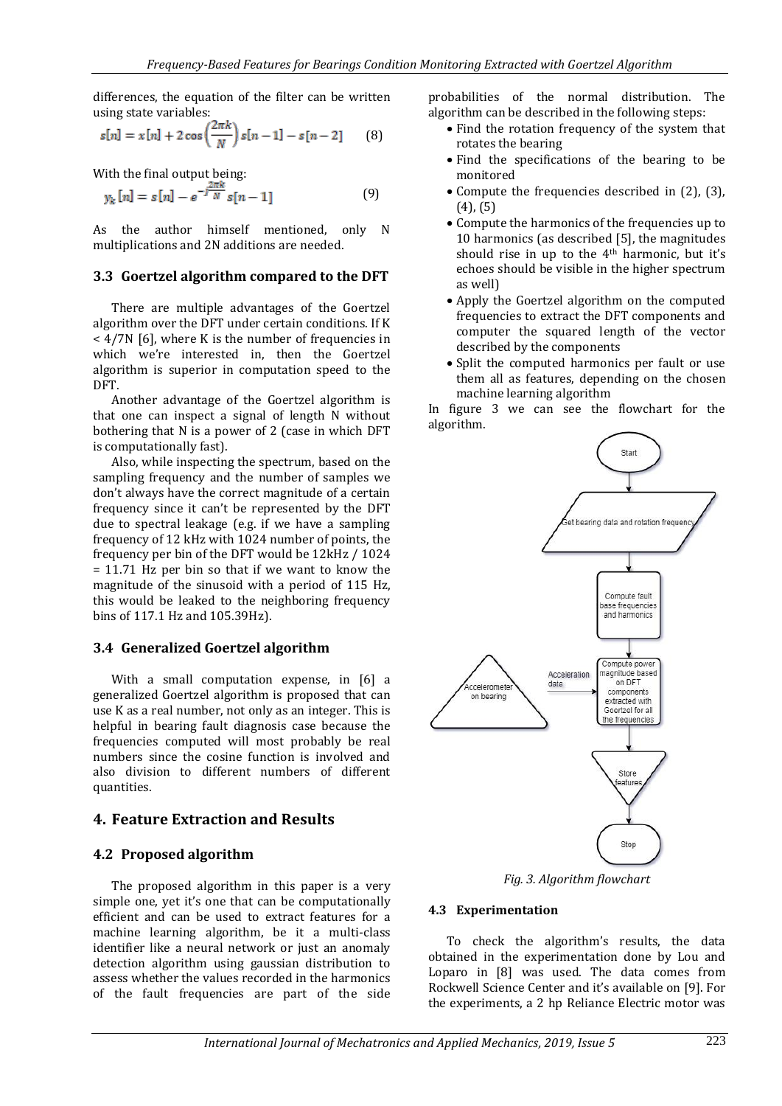differences, the equation of the filter can be written using state variables:

$$
s[n] = x[n] + 2\cos\left(\frac{2\pi k}{N}\right)s[n-1] - s[n-2] \tag{8}
$$

With the final output being:

$$
y_k[n] = s[n] - e^{-j\frac{2\pi k}{N}} s[n-1]
$$
 (9)

As the author himself mentioned, only N multiplications and 2N additions are needed.

#### **3.3 Goertzel algorithm compared to the DFT**

There are multiple advantages of the Goertzel algorithm over the DFT under certain conditions. If K < 4/7N [6], where K is the number of frequencies in which we're interested in, then the Goertzel algorithm is superior in computation speed to the DFT.

Another advantage of the Goertzel algorithm is that one can inspect a signal of length N without bothering that N is a power of 2 (case in which DFT is computationally fast).

Also, while inspecting the spectrum, based on the sampling frequency and the number of samples we don't always have the correct magnitude of a certain frequency since it can't be represented by the DFT due to spectral leakage (e.g. if we have a sampling frequency of 12 kHz with 1024 number of points, the frequency per bin of the DFT would be 12kHz / 1024 = 11.71 Hz per bin so that if we want to know the magnitude of the sinusoid with a period of 115 Hz, this would be leaked to the neighboring frequency bins of 117.1 Hz and 105.39Hz).

#### **3.4 Generalized Goertzel algorithm**

With a small computation expense, in [6] a generalized Goertzel algorithm is proposed that can use K as a real number, not only as an integer. This is helpful in bearing fault diagnosis case because the frequencies computed will most probably be real numbers since the cosine function is involved and also division to different numbers of different quantities.

# **4. Feature Extraction and Results**

## **4.2 Proposed algorithm**

The proposed algorithm in this paper is a very simple one, yet it's one that can be computationally efficient and can be used to extract features for a machine learning algorithm, be it a multi-class identifier like a neural network or just an anomaly detection algorithm using gaussian distribution to assess whether the values recorded in the harmonics of the fault frequencies are part of the side

probabilities of the normal distribution. The algorithm can be described in the following steps:

- Find the rotation frequency of the system that rotates the bearing
- Find the specifications of the bearing to be monitored
- Compute the frequencies described in (2), (3), (4), (5)
- Compute the harmonics of the frequencies up to 10 harmonics (as described [5], the magnitudes should rise in up to the 4th harmonic, but it's echoes should be visible in the higher spectrum as well)
- Apply the Goertzel algorithm on the computed frequencies to extract the DFT components and computer the squared length of the vector described by the components
- Split the computed harmonics per fault or use them all as features, depending on the chosen machine learning algorithm

In figure 3 we can see the flowchart for the algorithm.



*Fig. 3. Algorithm flowchart*

## **4.3 Experimentation**

To check the algorithm's results, the data obtained in the experimentation done by Lou and Loparo in [8] was used. The data comes from Rockwell Science Center and it's available on [9]. For the experiments, a 2 hp Reliance Electric motor was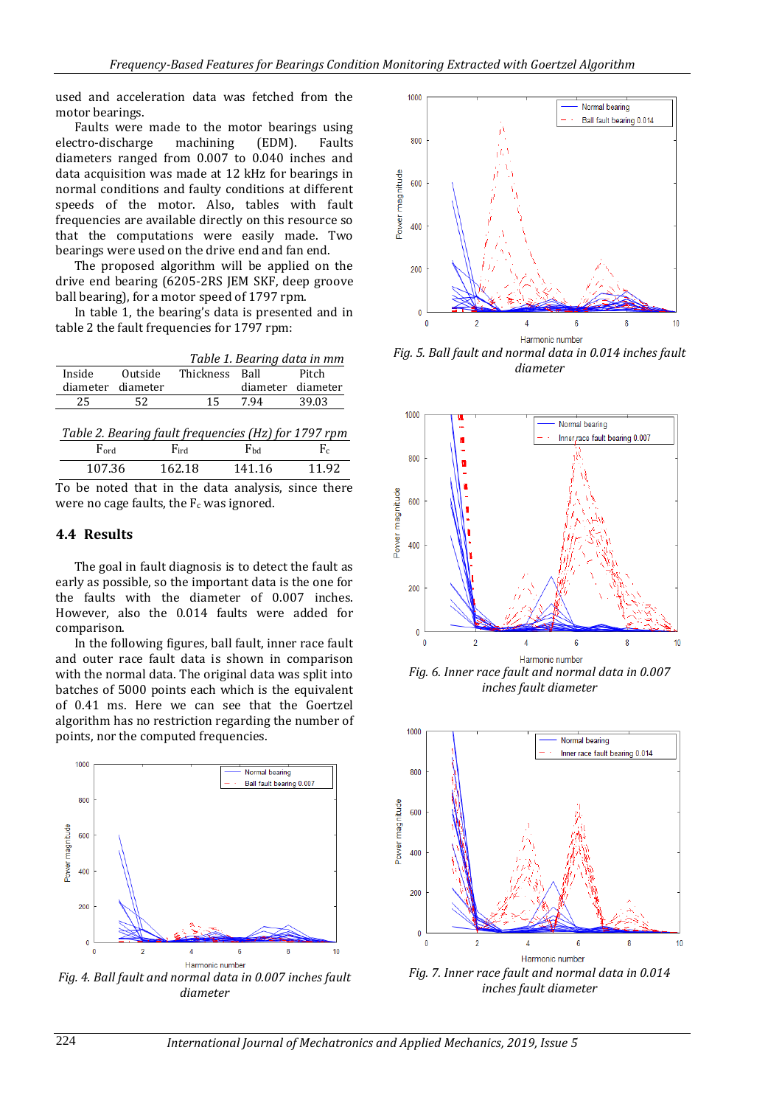used and acceleration data was fetched from the motor bearings.

Faults were made to the motor bearings using electro-discharge machining (EDM). Faults diameters ranged from 0.007 to 0.040 inches and data acquisition was made at 12 kHz for bearings in normal conditions and faulty conditions at different speeds of the motor. Also, tables with fault frequencies are available directly on this resource so that the computations were easily made. Two bearings were used on the drive end and fan end.

The proposed algorithm will be applied on the drive end bearing (6205-2RS JEM SKF, deep groove ball bearing), for a motor speed of 1797 rpm.

In table 1, the bearing's data is presented and in table 2 the fault frequencies for 1797 rpm:

|                   |         | Table 1. Bearing data in mm |                   |       |  |
|-------------------|---------|-----------------------------|-------------------|-------|--|
| Inside            | Outside | Thickness Ball              |                   | Pitch |  |
|                   |         |                             |                   |       |  |
| diameter diameter |         |                             | diameter diameter |       |  |
| 25                | 52      | 15                          | 7.94              | 39.03 |  |

| Table 2. Bearing fault frequencies (Hz) for 1797 rpm |        |              |       |  |
|------------------------------------------------------|--------|--------------|-------|--|
| $\rm{Ford}$                                          | Find   | $F_{\rm bd}$ | $F_c$ |  |
| 107.36                                               | 162.18 | 141.16       | 11.92 |  |

To be noted that in the data analysis, since there were no cage faults, the  $F_c$  was ignored.

#### **4.4 Results**

The goal in fault diagnosis is to detect the fault as early as possible, so the important data is the one for the faults with the diameter of 0.007 inches. However, also the 0.014 faults were added for comparison.

In the following figures, ball fault, inner race fault and outer race fault data is shown in comparison with the normal data. The original data was split into batches of 5000 points each which is the equivalent of 0.41 ms. Here we can see that the Goertzel algorithm has no restriction regarding the number of points, nor the computed frequencies.



*Fig. 4. Ball fault and normal data in 0.007 inches fault diameter*



*Fig. 5. Ball fault and normal data in 0.014 inches fault diameter*



*Fig. 6. Inner race fault and normal data in 0.007 inches fault diameter*



*Fig. 7. Inner race fault and normal data in 0.014 inches fault diameter*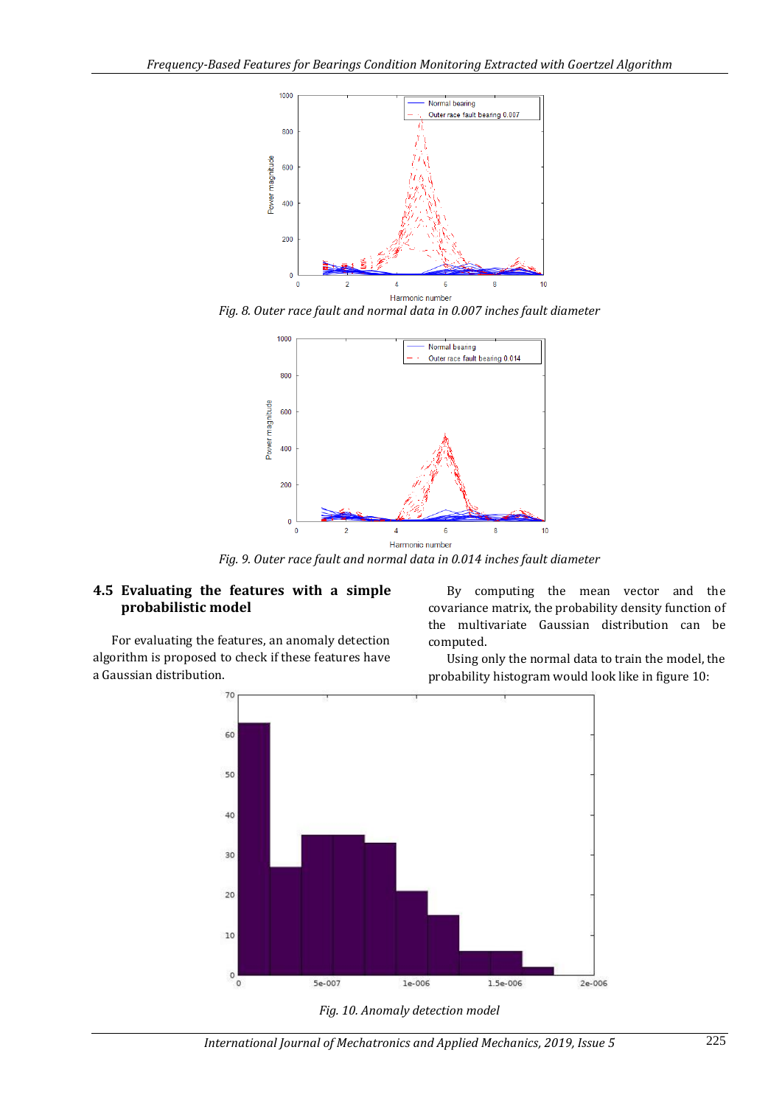

*Fig. 8. Outer race fault and normal data in 0.007 inches fault diameter*



*Fig. 9. Outer race fault and normal data in 0.014 inches fault diameter*

# **4.5 Evaluating the features with a simple probabilistic model**

For evaluating the features, an anomaly detection algorithm is proposed to check if these features have a Gaussian distribution.

By computing the mean vector and the covariance matrix, the probability density function of the multivariate Gaussian distribution can be computed.

Using only the normal data to train the model, the probability histogram would look like in figure 10:



*Fig. 10. Anomaly detection model*

*International Journal of Mechatronics and Applied Mechanics, 2019, Issue 5* 225